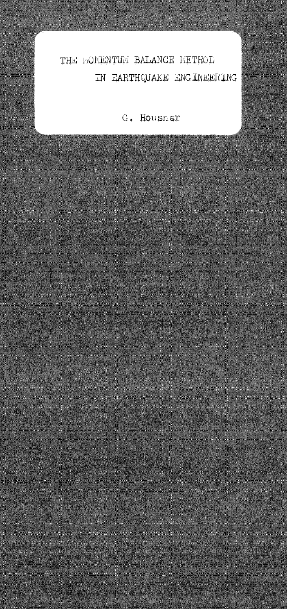## THE **hOMENTUM BALANCE METHOD** IN EARTHQUAKE ENGINEERING

## G. Housner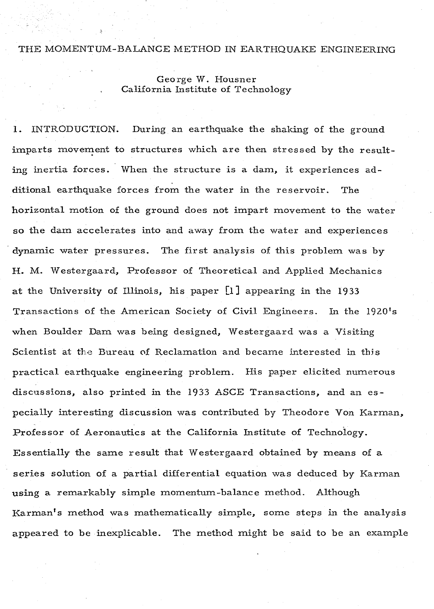## THE MOMENTUM-BALANCE METHOD IN EARTHQUAKE ENGINEERING

George W. Housner California Institute of Technology

I. INTRODUCTION. During an earthquake the shaking of the ground imparts movement to structures which are then stressed by the resulting inertia forces. When the structure is a dam, it experiences additional earthquake forces from the water in the reservoir. The horizontal motion of the ground does not impart movement to the water so the dam accelerates into and away from the water and experiences dynamic water pressures. The first analysis of this problem was by H. M. Westergaard, Professor of Theoretical and Applied Mechanics at the University of Illinois, his paper [I] appearing in the 19 33 Transactions of the American Society of Civil Engineers. In the 1920's when Boulder Dam was being designed, Westergaard was a Visiting Scientist at the Bureau of Reclamation and became interested in this practical earthquake engineering problem. His paper elicited numerous discussions, also printed in the 1933 ASCE Transactions, and an especially interesting discussion was contributed by Theodore Von Karman, Professor of Aeronautics at the California Institute of Technology. Essentially the same result that Westergaard obtained by means of a series solution of a partial differential equation was deduced by Karman using a remarkably simple momentum-balance method. Although Karman's method was mathematically simple, some steps in the analysis appeared to be inexplicable. The method might be said to be an example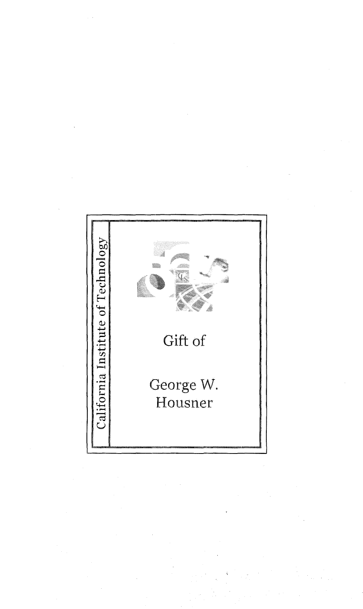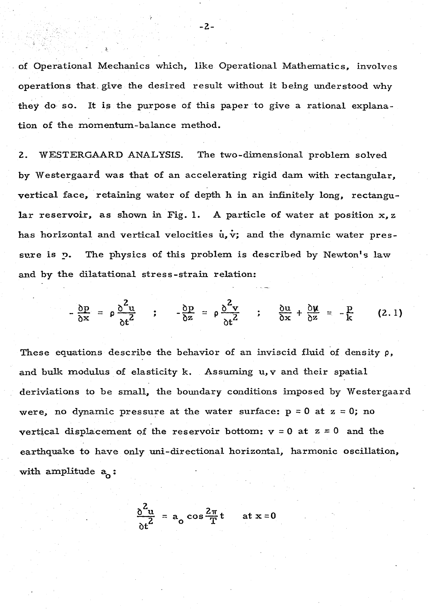of Operational Mechanics which, like Operational Mathematics, involves operations that, give the desired result without it being understood why they do so. It is the purpose of this paper to give a rational explanation of the momentum-balance method.

-2-

2. WESTERGAARD ANALYSIS. The two-dimensional problern solved by Westergaard was that of an accelerating rigid dam with rectangular, vertical face, retaining water of depth h in an infinitely long, rectangular reservoir, as shown in Fig. 1. A particle of water at position  $x, z$ has horizontal and vertical velocities  $\dot{u}, \dot{v}$ ; and the dynamic water pressure is p. The physics of this problem is described by Newton's law and by the dilatational stress-strain relation:

$$
-\frac{\delta p}{\delta x} = \rho \frac{\delta^2 u}{\delta t^2} \qquad ; \qquad -\frac{\delta p}{\delta z} = \rho \frac{\delta^2 v}{\delta t^2} \qquad ; \qquad \frac{\delta u}{\delta x} + \frac{\delta u}{\delta z} = -\frac{p}{k} \qquad (2.1)
$$

These equations describe the behavior of an inviscid fluid of density  $\rho$ , and bulk modulus of elasticity k. Assuming u, v and their spatial deriviations to be small, the boundary conditions imposed by Westergaard were, no dynamic pressure at the water surface:  $p = 0$  at  $z = 0$ ; no vertical displacement of the reservoir bottom:  $v = 0$  at  $z = 0$  and the earthquake to have only uni-directional horizontal, harmonic oscillation, with amplitude  $a_{0}$ :

$$
\frac{\delta^2 u}{\delta t^2} = a_o \cos \frac{2\pi}{T} t \quad \text{at } x = 0
$$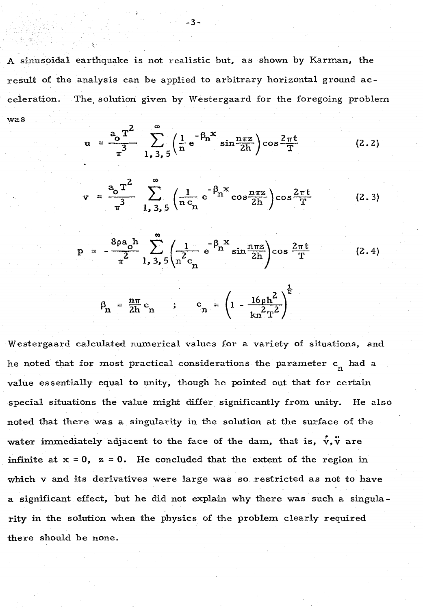A sinusoidal earthquake is not realistic but, as shown by Karman, the result of the analysis can be applied to arbitrary horizontal ground acceleration. The. solution given by Westergaard for the foregoing problem was

$$
u = \frac{a_0 T^2}{\pi^3} \sum_{1,3,5}^{\infty} \left( \frac{1}{n} e^{-\beta n^2} \sin \frac{n \pi z}{2h} \right) \cos \frac{2 \pi t}{T}
$$
 (2.2)

$$
v = \frac{a_0 T^2}{\pi^3} \sum_{1,3,5}^{\infty} \left( \frac{1}{n c_n} e^{-\beta_n x} \cos \frac{n \pi z}{2h} \right) \cos \frac{2 \pi t}{T}
$$
 (2.3)

$$
p = -\frac{8\rho a_0 h}{\pi^2} \sum_{1,3,5}^{\infty} \left( \frac{1}{n^2 c_n} e^{-\beta_n x} \sin \frac{n \pi z}{2h} \right) \cos \frac{2\pi t}{T}
$$
 (2.4)  

$$
\beta_n = \frac{n \pi}{2h} c_n \qquad ; \qquad c_n = \left( 1 - \frac{16\rho h^2}{kn^2 T^2} \right)^{\frac{1}{2}}
$$

Westergaard calculated nwnerical values for a variety of situations, and he noted that for most practical considerations the parameter  $\mathbf{c}_{\mathbf{n}}^{\top}$  had a value essentially equal to unity, though he pointed out that for certain special situations the value might differ significantly from unity. He also noted that there was a singularity in the solution at the surface of the water immediately adjacent to the face of the dam, that is,  $\vec{v}$ ,  $\vec{v}$  are infinite at  $x = 0$ ,  $z = 0$ . He concluded that the extent of the region in which v and its derivatives were large was so restricted as not to have a significant effect, but he did not explain why there was such a singularity in the solution when the physics of the problem clearly required there should be none.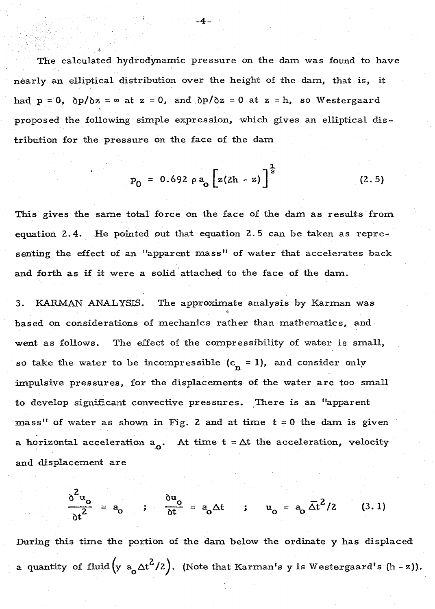The calculated hydrodynamic pressure on the dam was found to have nearly an elliptical distribution over the height of the dam, that is, it had  $p = 0$ ,  $\frac{\partial p}{\partial z} = \infty$  at  $z = 0$ , and  $\frac{\partial p}{\partial z} = 0$  at  $z = h$ , so Westergaard proposed the following simple expression, which gives an elliptical distribution for the pressure on the face of the dam

 $-4-$ 

~

$$
p_0 = 0.692 \rho a_0 \left[ z(2h - z) \right]^{\frac{1}{2}}
$$
 (2.5)

This gives the same total force on the face of the dam as results from equation 2. 4. He pointed out that equation 2. 5 can be taken as representing the effect of an "apparent mass" of water that accelerates back and forth as if it were a solid attached to the face of the dam.

3. KARMAN ANALYSIS. The approximate analysis by Karman was based on considerations of mechanics rather than mathematics, and went as follows. The effect of the compressibility of water is small, so take the water to be incompressible  $(c_n = 1)$ , and consider only impulsive pressures, for the displacements of the water are too small to develop significant convective pressures. There is an "apparent mass" of water as shown in Fig. 2 and at time  $t = 0$  the dam is given a horizontal acceleration  $a_{0}$ . At time  $t = \Delta t$  the acceleration, velocity and displacement are

$$
\frac{\delta^2 u_o}{\delta t^2} = a_o \qquad ; \qquad \frac{\delta u_o}{\delta t} = a_o \Delta t \qquad ; \qquad u_o = a_o \overline{\Delta t}^2 / 2 \qquad (3.1)
$$

During this time the portion of the dam below the ordinate y has displaced a quantity of fluid  $\left(y\right)$  a<sub>o</sub>  $\Delta t^2/2$ ). (Note that Karman's y is Westergaard's (h - z)).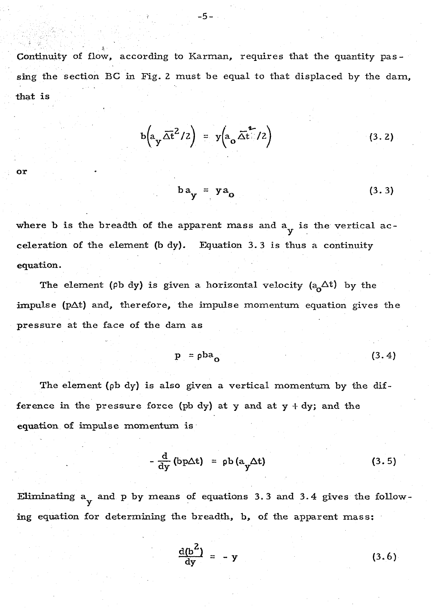Continuity of flow, according to Karman, requires that the quantity pas sing the section BC in Fig. 2 must be equal to that displaced by the dam, that is

$$
b\left(a_y\overline{\Delta t}^2/2\right) = y\left(a_o\overline{\Delta t}^2/2\right) \qquad (3.2)
$$

$$
\quad \text{or} \quad
$$

 $\epsilon$ 

$$
ba_y = ya_0 \tag{3.3}
$$

where b is the breadth of the apparent mass and  $a_y$  is the vertical acceleration of the element (b dy). Equation 3. 3 is thus a continuity equation.

The element ( $\rho b$  dy) is given a horizontal velocity ( $a_0 \Delta t$ ) by the impulse ( $p\Delta t$ ) and, therefore, the impulse momentum equation gives the pressure at the face of the dam as

$$
p = \rho ba_0 \tag{3.4}
$$

The element ( $\phi$ b dy) is also given a vertical momentum by the difference in the pressure force (pb dy) at y and at  $y + dy$ ; and the equation of impulse momentum is

$$
-\frac{d}{dy} (bp\Delta t) = pb (a_y \Delta t)
$$
 (3.5)

Eliminating  $a_y$  and  $p$  by means of equations 3.3 and 3.4 gives the following equation for determining the breadth, b, of the apparent mass:

$$
\frac{d(b^2)}{dy} = -y \tag{3.6}
$$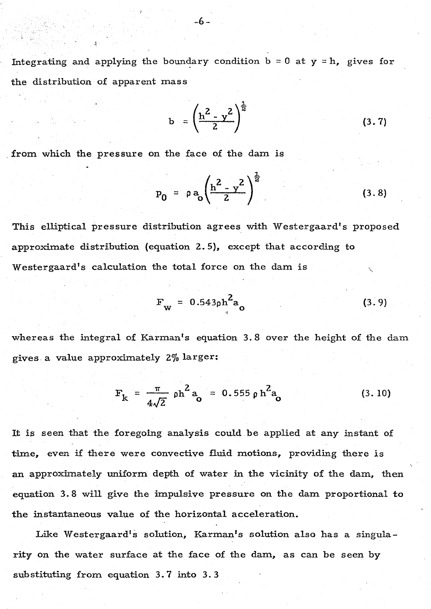Integrating and applying the boundary condition  $b = 0$  at  $y = h$ , gives for the distribution of apparent mass

$$
b = \left(\frac{h^2 - y^2}{2}\right)^{\frac{1}{2}}
$$
 (3.7)

from which the pressure on the face of the dam is

$$
P_0 = \rho a_0 \left(\frac{h^2 - y^2}{2}\right)^{\frac{1}{2}} \tag{3.8}
$$

This elliptical pressure distribution agrees with Westergaard's proposed approximate distribution (equation 2. 5), except that according to Westergaard's calculation the total force on the dam is

$$
F_{\rm w} = 0.543 \rho h^2 a_{\rm o}
$$
 (3.9)

whereas the integral of Karman's equation 3. 8 over the height of the dam gives. a value approximately 2% larger:

$$
F_k = \frac{\pi}{4\sqrt{2}} \rho h^2 a_o = 0.555 \rho h^2 a_o
$$
 (3.10)

It is seen that the foregoing analysis could be applied at any instant of time, even if there were convective fluid motions, providing there is an approximately uniform depth of water in the vicinity of the dam, then equation 3. 8 will give the impulsive pressure on the dam proportional to the instantaneous value of the horizontal acceleration.

Like Westergaard's solution, Karman's solution also has a singularity on the water surface at the face of the dam, as can be seen by substituting from equation 3. 7 into 3. 3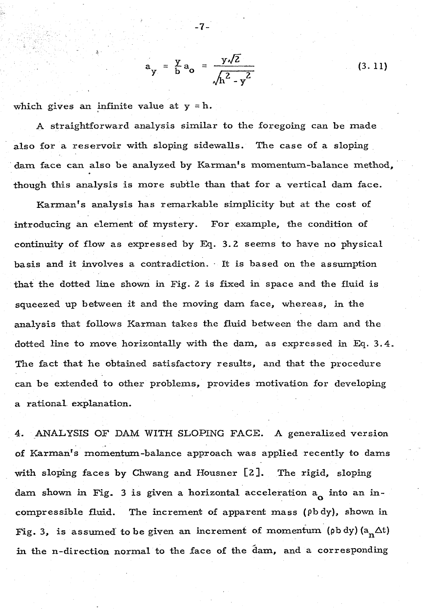$$
a_y = \frac{y}{b} a_o = \frac{y\sqrt{2}}{\sqrt{h^2 - y^2}}
$$

-7-

which gives an infinite value at  $y = h$ .

A straightforward analysis similar to the foregoing can be made also for a reservoir with sloping sidewalls. The case of a sloping dam face can also be analyzed by Karman's momentum-balance method, though this analysis is more subtle than that for a vertical dam face.

Karman's analysis has remarkable simplicity but at the cost of introducing an element of mystery. For example, the condition of continuity of flow as expressed by Eq. 3. 2 seems to have no physical basis and it involves a contradiction. · It is based on the assumption that the dotted line shown in Fig. 2 is fixed in space and the fluid is squeezed up between it and the moving dam face, whereas, in the analysis that follows Karman takes the fluid between the dam and the dotted line to move horizontally with the dam, as expressed in Eq. 3. 4. The fact that he obtained satisfactory results, and that the procedure can be extended to other problems, provides motivation for developing a rational. explanation.

4. ANALYSIS OF DAM WITH SLOPING FACE. A generalized version of Karman's momentum-balance approach was applied recently to dams with sloping faces by Chwang and Housner [2 ]. The rigid, sloping dam shown in Fig. 3 is given a horizontal acceleration  $a_0$  into an incompressible fluid. The increment of apparent mass ( $\rho b dy$ ), shown in Fig. 3, is assumed to be given an increment of momentum (pb dy)  $(a_n \Delta t)$ in the n-direction normal to the face of the dam, and a corresponding

(3. 11)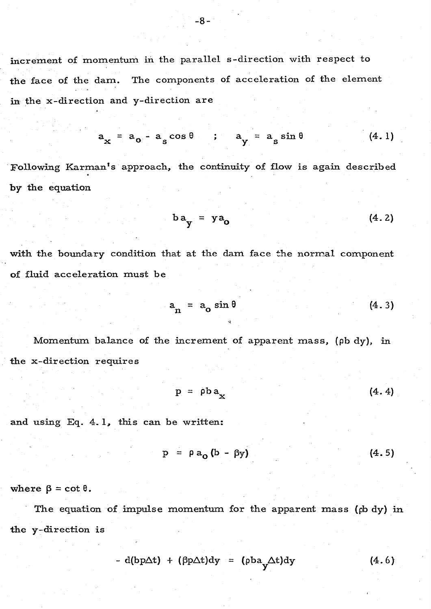increment of momentum in the parallel s-direction with respect to the face of the dam. The components of acceleration of the element in the x-direction and y-direction are

$$
a_x = a_0 - a_s \cos \theta \qquad ; \qquad a_y = a_s \sin \theta \qquad (4.1)
$$

Following Karman's approach, the continuity of flow is again described by the equation

$$
ba_y = ya_0 \tag{4.2}
$$

with the boundary condition that at the dam face the normal component of fluid acceleration must be

$$
a_n = a_0 \sin \theta \qquad (4.3)
$$

Momentum balance of the increment of apparent mass, (pb dy), in the x-direction requires

$$
p = \rho b a_x \qquad (4.4)
$$

and using Eq. 4. 1, this can be written:

$$
p = \rho a_0 (b - \beta y) \tag{4.5}
$$

where  $\beta = \cot \theta$ .

The equation of impulse momentum for the apparent mass (pb dy) in the y-direction is

$$
- d(bp\Delta t) + (\beta p \Delta t) dy = (pba_y \Delta t) dy \qquad (4.6)
$$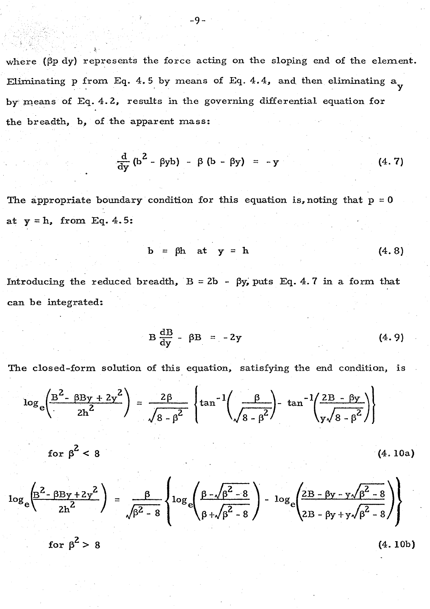where ( $\beta p$  dy) represents the force acting on the sloping end of the element. Eliminating p from Eq. 4.5 by means of Eq. 4.4, and then eliminating  $a_{\bf y}$ by means of Eq. 4.2, results in the governing differential equation for the breadth, b, of the apparent mass:

$$
\frac{\mathrm{d}}{\mathrm{d}y} \left( b^2 - \beta y b \right) - \beta \left( b - \beta y \right) = -y \tag{4.7}
$$

The appropriate boundary condition for this equation is, noting that  $p = 0$ at  $y = h$ , from Eq. 4.5:

$$
b = \beta h \quad at \quad y = h \tag{4.8}
$$

Introducing the reduced breadth,  $B = 2b - \beta y$ , puts Eq. 4.7 in a form that can be integrated:

$$
B\frac{dB}{dy} - \beta B = -2y \qquad (4.9)
$$

The closed-form solution of this equation, satisfying the end condition, is

$$
\log_e\left(\frac{B^2 - \beta By + 2y^2}{2h^2}\right) = \frac{2\beta}{\sqrt{8 - \beta^2}} \left\{\tan^{-1}\left(\frac{\beta}{\sqrt{8 - \beta^2}}\right) - \tan^{-1}\left(\frac{2B - \beta y}{y\sqrt{8 - \beta^2}}\right)\right\}
$$

$$
\text{for }\beta^2<8\tag{4.10a}
$$

$$
\log_e \left( \frac{\beta^2 - \beta \beta y + 2y^2}{2h^2} \right) = \frac{\beta}{\sqrt{\beta^2 - 8}} \left\{ \log_e \left( \frac{\beta - \sqrt{\beta^2 - 8}}{\beta + \sqrt{\beta^2 - 8}} \right) - \log_e \left( \frac{2B - \beta y - y\sqrt{\beta^2 - 8}}{2B - \beta y + y\sqrt{\beta^2 - 8}} \right) \right\}
$$

for  $\beta^2 > 8$  (4.10b)

 $\mathcal{F}_{\mathcal{G}}$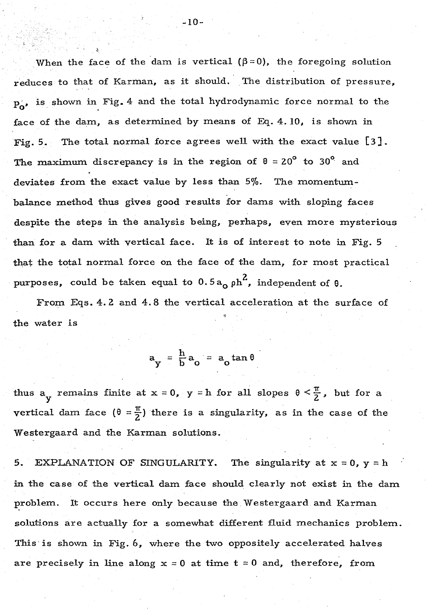When the face of the dam is vertical  $(\beta = 0)$ , the foregoing solution reduces to that of Karman, as it should. The distribution of pressure,  $p_o$ , is shown in Fig. 4 and the total hydrodynamic force normal to the face of the dam, as determined by means of Eq. 4. *IO,* is shown in Fig. 5. The total normal force agrees well with the exact value [3 J. The maximum discrepancy is in the region of  $\theta = 20^{\circ}$  to 30<sup>°</sup> and deviates from the exact value by less than  $5\%$ . The momentumbalance method thus gives good results for dams with sloping faces despite the steps in the analysis being, perhaps, even more mysterious than for a dam with vertical face. It is of interest to note in Fig. 5 that the total normal force on the face of the dam, for most practical purposes, could be taken equal to  $0.5a_0$   $\mu^2$ , independent of  $\theta$ .

From Eqs. 4. 2 and 4. 8 the vertical acceleration at the surface of the water is

 $a_y = \frac{h}{b} a_o = a_o \tan \theta$ 

thus  $a_y$  remains finite at  $x = 0$ ,  $y = h$  for all slopes  $0 \le \frac{\pi}{2}$ , but for a vertical dam face  $(\theta = \frac{\pi}{2})$  there is a singularity, as in the case of the Westergaard and the Karman solutions.

5. EXPLANATION OF SINGULARITY. The singularity at  $x = 0$ ,  $y = h$ in the case of the vertical dam face should clearly not exist in the dam problem. It occurs here only because the Westergaard and Karman solutions are actually for a somewhat different fluid mechanics problem. This is shown in Fig. 6, where the two oppositely accelerated halves are precisely in line along  $x = 0$  at time  $t = 0$  and, therefore, from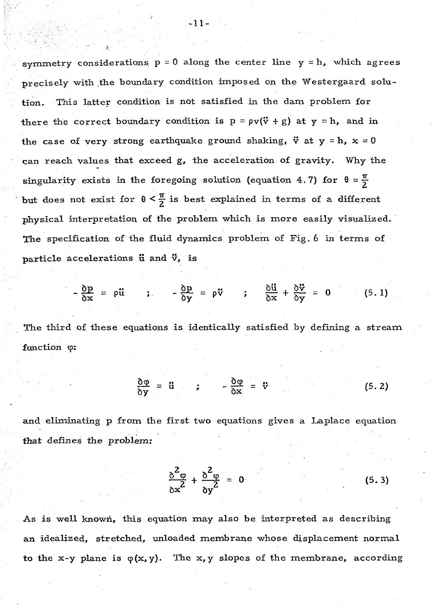symmetry considerations  $p = 0$  along the center line  $y = h$ , which agrees precisely with the boundary condition imposed on the Westergaard solution. This latter condition is not satisfied in the dam problem for there the correct boundary condition is  $p = \rho v(\ddot{v} + g)$  at  $y = h$ , and in the case of very strong earthquake ground shaking,  $\ddot{v}$  at  $y = h$ ,  $x = 0$ can reach values that exceed g, the acceleration of gravity. Why the singularity exists in the foregoing solution (equation 4.7) for  $\theta = \frac{\pi}{2}$ but does not exist for  $\theta \leq \frac{\pi}{2}$  is best explained in terms of a different physical interpretation of the problem which is more easily visualized. The specification of the fluid dynamics problem of Fig. 6 in terms of particle accelerations  $\ddot{u}$  and  $\ddot{v}$ , is

$$
-\frac{\delta p}{\delta x} = \rho \ddot{u} \qquad ; \qquad -\frac{\delta p}{\delta y} = \rho \ddot{v} \qquad ; \qquad \frac{\delta \ddot{u}}{\delta x} + \frac{\delta \ddot{v}}{\delta y} = 0 \qquad (5.1)
$$

The third of these equations is identically satisfied by defining a stream function  $\varphi$ :

$$
\frac{\partial \varphi}{\partial y} = \ddot{u} \qquad ; \qquad -\frac{\partial \varphi}{\partial x} = \ddot{v} \qquad (5.2)
$$

and eliminating p from the first two equations gives a Laplace equation that defines the problem:

$$
\frac{\delta^2 \varphi}{\delta x^2} + \frac{\delta^2 \varphi}{\delta y^2} = 0 \tag{5.3}
$$

As is well known, this equation may also be interpreted as describing an idealized, stretched, unloaded membrane whose displacement normal to the x-y plane is  $\varphi(x, y)$ . The x, y slopes of the membrane, according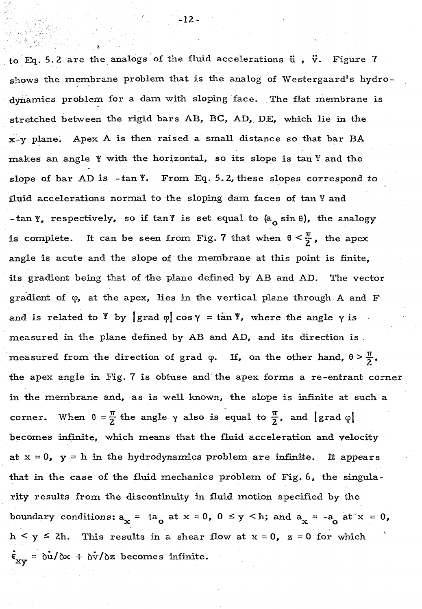to Eq. 5.2 are the analogs of the fluid accelerations  $\ddot{u}$ ,  $\ddot{v}$ . Figure 7 shows the membrane problem that is the analog of Westergaard's hydrodynamics problem for a dam with sloping face. The flat membrane is stretched between the rigid bars AB, BC, AD, DE, which lie in the  $x-y$  plane. Apex A is then raised a small distance so that bar BA makes an angle  $Y$  with the horizontal, so its slope is tan  $Y$  and the slope of bar AD is -tan Y. From Eq. 5.2, these slopes correspond to fluid accelerations normal to the sloping dam faces of  $tan *Y*$  and -tan *Y*, respectively, so if tan *Y* is set equal to  $(a_0 \sin \theta)$ , the analogy is complete. It can be seen from Fig. 7 that when  $0 \leq \frac{\pi}{2}$ , the apex angle is acute and the slope of the membrane at this point is finite, its gradient being that of the plane defined by AB and AD. The vector gradient of *cp,* at the apex, lies in the vertical plane through A and F and is related to  $\mathbf{Y}$  by  $\int \text{grad } \varphi \, \vert \, \cos \gamma = \tan \varphi$ , where the angle  $\gamma$  is measured in the plane defined by AB and AD, and its direction is . measured from the direction of grad  $\varphi$ . If, on the other hand,  $\theta > \frac{\pi}{2}$ , the apex angle in Fig.  $7$  is obtuse and the apex forms a re-entrant corner in the membrane and, as is well known, the slope is infinite at such a corner. When  $\theta = \frac{\pi}{2}$  the angle  $\gamma$  also is equal to  $\frac{\pi}{2}$ , and  $|\text{grad }\varphi|$ becomes infinite, which means that the fluid acceleration and velocity at  $x = 0$ ,  $y = h$  in the hydrodynamics problem are infinite. It appears that in the case of the fluid mechanics problem of Fig. 6, the singularity results from the discontinuity in fluid motion specified by the boundary conditions:  $a_x = a_0$  at  $x = 0$ ,  $0 \le y \le h$ ; and  $a_x = -a_0$  at  $x = 0$ ,  $h < y \le 2h$ . This results in a shear flow at  $x = 0$ ,  $z = 0$  for which  $\dot{\epsilon}_{xy} = \dot{\delta u}/\delta x + \dot{\delta v}/\delta z$  becomes infinite.

-12-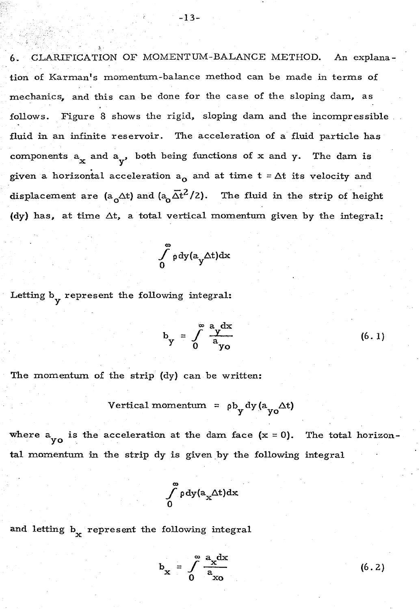6. CLARIFICATION OF MOMENTUM-BALANCE METHOD. An explanation of Karman's momentum-balance method can be made in terms of mechanics, and this can be done for the case of the sloping dam, as follows. Figure 8 shows the rigid, sloping dam and the incompressible \_ fluid in an infinite reservoir. The acceleration of a fluid particle has components  $a_x$  and  $a_y$ , both being functions of x and y. The dam is given a horizontal acceleration  $a_0$  and at time  $t = \Delta t$  its velocity and displacement are (a<sub>0</sub> $\Delta t$ ) and (a<sub>0</sub> $\overline{\Delta t}^2/2$ ). The fluid in the strip of height (dy) has, at time  $\Delta t$ , a total vertical momentum given by the integral:

$$
\int\limits_0^\infty \rho\,dy(a_y\Delta t)dx
$$

Letting  $b_v$  represent the following integral:

4,

$$
b_y = \int_0^\infty \frac{a_y dx}{a_{yo}}
$$
 (6.1)

The momentum of the strip (dy) can be written:

Vertical momentum = 
$$
\rho b_y dy (a_{yo} \Delta t)
$$

where  $a_{y0}$  is the acceleration at the dam face  $(x = 0)$ . The total horizontal momentum in the strip dy is given by the following integral

$$
\int\limits_0^\infty \rho\,dy(a_x\Delta t)dx
$$

and letting  $b_x$  represent the following integral

$$
b_x = \int_0^\infty \frac{a_x dx}{a_{xo}}
$$

(6. 2)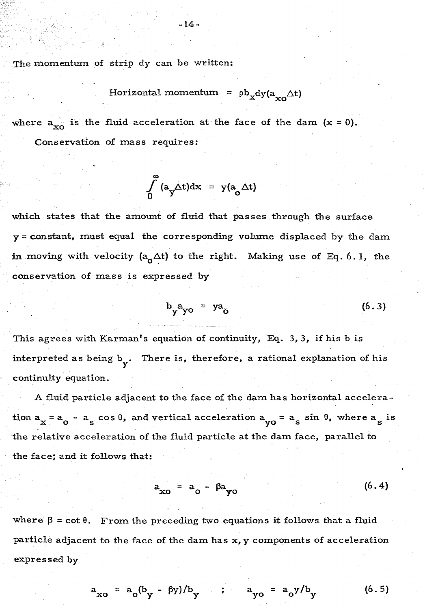The momentum of strip dy can be written:

$$
Horizontal\,\,momentum = \, \rho b_x dy (a_{xo} \Delta t)
$$

where  $a_{xo}$  is the fluid acceleration at the face of the dam  $(x = 0)$ . Conservation of mass requires:

$$
\int_{0}^{\infty} (a_y \Delta t) dx = y(a_0 \Delta t)
$$

which states that the amount of fluid that passes through the surface y =constant, must equal the corresponding volume displaced by the dam in moving with velocity  $(a_0 \Delta t)$  to the right. Making use of Eq. 6.1, the conservation of mass is expressed by

$$
b_y^2 b_y^2 = y^2 b_y \tag{6.3}
$$

This agrees with Karman's equation of continuity, Eq. 3, 3, if his b is interpreted as being b<sub>y</sub>. There is, therefore, a rational explanation of his continuity equation.

A fluid particle adjacent to the face of the dam has horizontal acceleration  $a_x = a_0 - a_s \cos \theta$ , and vertical acceleration  $a_{yo} = a_s \sin \theta$ , where  $a_s$  is the relative acceleration of the fluid particle at the dam face, parallel to the face; and it follows that:

$$
a_{xo} = a_o - \beta a_{yo} \tag{6.4}
$$

where  $\beta$  = cot  $\theta$ . From the preceding two equations it follows that a fluid particle adjacent to the face of the dam has x, y components of acceleration expressed by

$$
a_{xo} = a_o(b_y - \beta y)/b_y
$$
;  $a_{yo} = a_oy/b_y$  (6.5)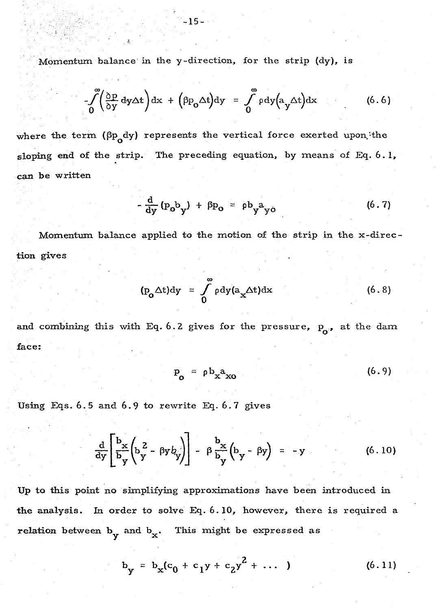Momentum balance· in the y-direction, for the strip (dy), is

$$
\int_{0}^{\infty} \left(\frac{\partial p}{\partial y} dy \Delta t\right) dx + \left(\beta p_0 \Delta t\right) dy = \int_{0}^{\infty} \rho dy \left(a_y \Delta t\right) dx \tag{6.6}
$$

where the term  $(\beta p_o dy)$  represents the vertical force exerted upon the sloping end of the strip. The preceding equation, by means of Eq. 6. I, can be written

$$
-\frac{d}{dy}(p_o b_y) + \beta p_o = \rho b_y a_{yo}
$$
 (6.7)

Momentum balance applied to the motion of the strip in the x-direction gives

$$
(\mathbf{p}_{\mathbf{o}} \Delta \mathbf{t}) \mathbf{d} \mathbf{y} = \int_{0}^{\infty} \rho \mathbf{d} \mathbf{y} (\mathbf{a}_{\mathbf{x}} \Delta \mathbf{t}) \mathbf{d} \mathbf{x}
$$
 (6.8)

and combining this with Eq. 6.2 gives for the pressure,  $p_o$ , at the dam face:

$$
\mathbf{P}_{\mathbf{O}} = \rho \mathbf{b}_{\mathbf{x}} \mathbf{a}_{\mathbf{x} \mathbf{O}} \tag{6.9}
$$

Using Eqs. 6.5 and 6.9 to rewrite Eq. 6.7 gives

$$
\frac{d}{dy}\left[\frac{b_x}{b_y}\left(b_y^2 - \beta y b_y^2\right)\right] - \beta \frac{b_x}{b_y}\left(b_y - \beta y\right) = -y \qquad (6.10)
$$

Up to this point no simplifying approximations have been introduced in the analysis. In order to solve Eq. 6.10, however, there is required a relation between  $b_y$  and  $b_x$ . This might be expressed as

$$
b_y = b_x (c_0 + c_1 y + c_2 y^2 + \dots)
$$
 (6.11)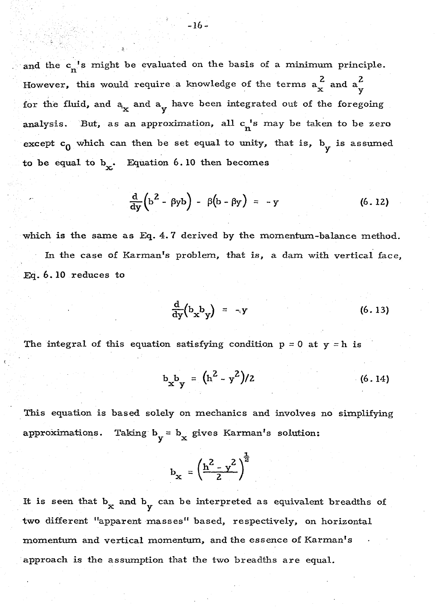and the  $c_n^{-1}$ s might be evaluated on the basis of a minimum principle. However, this would require a knowledge of the terms  $a_x^2$  and  $a_y^2$ for the fluid, and  $a_x$  and  $a_y$  have been integrated out of the foregoing analysis. But, as an approximation, all  $c_n$ 's may be taken to be zero except  $c_0$  which can then be set equal to unity, that is,  $b_y$  is assumed to be equal to  $b_x$ . Equation 6.10 then becomes

$$
\frac{d}{dy}\left(b^2 - \beta y b\right) - \beta \left(b - \beta y\right) = -y \qquad (6.12)
$$

which is the same as Eq. 4. 7 derived by the momentum-balance method. In the case of Karman's problem, that is, a dam with vertical face, Eq. 6. 10 reduces to

$$
\frac{d}{dy}\left(b_{x}b_{y}\right) = \neg y \tag{6.13}
$$

The integral of this equation satisfying condition  $p = 0$  at  $y = h$  is

$$
b_x b_y = (h^2 - y^2)/2 \tag{6.14}
$$

This equation is based solely on mechanics and involves no simplifying approximations. Taking  $b_y = b_x$  gives Karman's solution:

$$
b_x = \left(\frac{h^2 - y^2}{2}\right)^{\frac{1}{2}}
$$

It is seen that  $b_x$  and  $b_y$  can be interpreted as equivalent breadths of two different "apparent masses" based, respectively, on horizontal momentum and vertical momentum, and the essence of Karman's approach is the assumption that the two breadths are equal.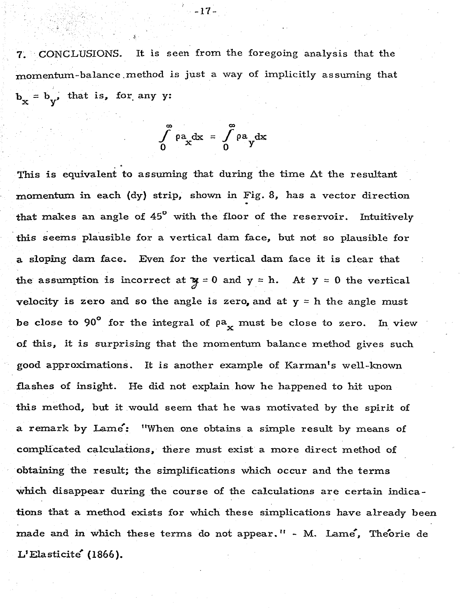CONCLUSIONS. It is seen from the foregoing analysis that the momentum-balance .method *is* just a way of implicitly assuming that  $b_v = b_v$ , that is, for any y:

$$
\int_{0}^{\infty} \rho a_x dx = \int_{0}^{\infty} \rho a_y dx
$$

This is equivalent to assuming that during the time  $\Delta t$  the resultant momentum in each (dy) strip, shown in Fig. 8, has a vector direction that makes an angle of 45° with the floor of the reservoir. Intuitively this seems plausible for a vertical dam face, but not so plausible for a sloping dam face. Even for the vertical dam face it is clear that the assumption is incorrect at  $y = 0$  and  $y = h$ . At  $y = 0$  the vertical velocity is zero and so the angle is zero, and at  $y = h$  the angle must be close to 90° for the integral of  $\rho a_x$  must be close to zero. In view of this, it is surprising that the momentum balance method gives such good approximations. It is another example of Karman's well-known flashes of insight. He did not explain how he happened to hit upon this method, but it .would seem that he was motivated by the spirit of a remark by Lame': "When one obtains a simple result by means of complicated calculations,, there must exist a more direct method of obtaining the result; the simplifications which occur and the terms which disappear during the course of the calculations are certain indications that a method exists for which these simplications have already been made and in which these terms do not appear." - M. Lame, Theorie de L' Elasticite (1866 ).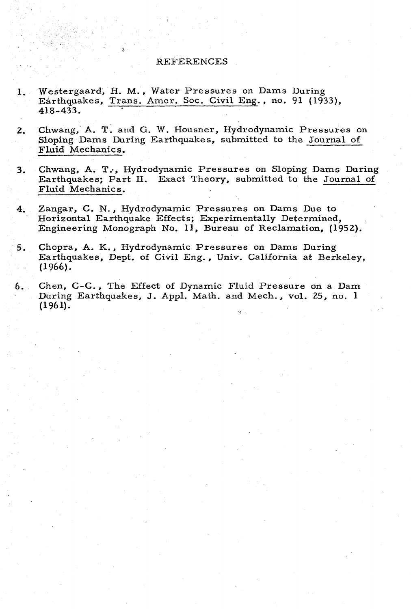## REFERENCES

- 1. Westergaard, H. M., Water Pressures on Dams During Earthquakes, Trans. Amer. Soc. Civil Eng., no. 91 (1933), 418-433.
- 2. Chwang, A. T. and G. W. Housner, Hydrodynamic Pressures on Sloping Dams During Earthquakes, submitted to the Journal of Fluid Mechanics.
- 3. Chwang, A. T., Hydrodynamic Pressures on Sloping Dams During Earthquakes; Part II. Exact Theory, submitted to the Journal of Fluid Mechanics.
- 4. Zangar, C. N., Hydrodynamic Pressures on Dams Due to Horizontal Earthquake Effects; Experimentally Determined, Engineering Monograph No. 11, Bureau of Reclamation, (1952).
- 5. Chopra, A. K., Hydrodynamic Pressures on Dams During Earthquakes, Dept. of Civil Eng., Univ. California at Berkeley, (1966).
- 6. Chen, C-C., The Effect of Dynamic Fluid Pressure on a Dam During Earthquakes, J. Appl. Math. and Mech., vol. 25, no. 1 (1961).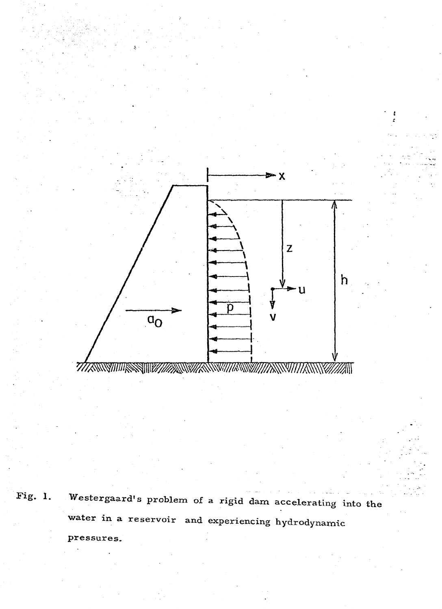

Fig. 1. Westergaard's problem of a rigid dam accelerating into the water in a reservoir and experiencing hydrodynamic pressures.

.. .\_-·. - .

- ' .:-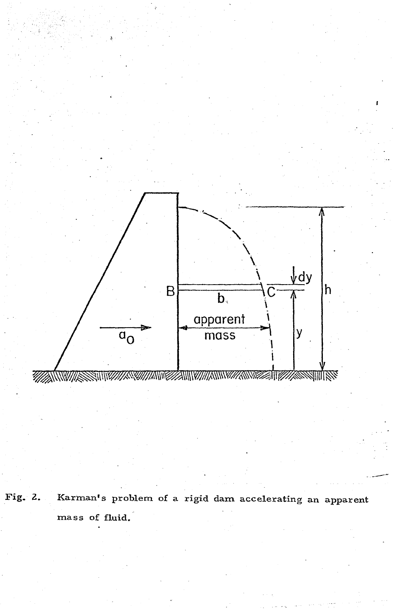

Fig. 2. Karman's problem of a rigid dam accelerating an apparent mass of fluid.

.. -~-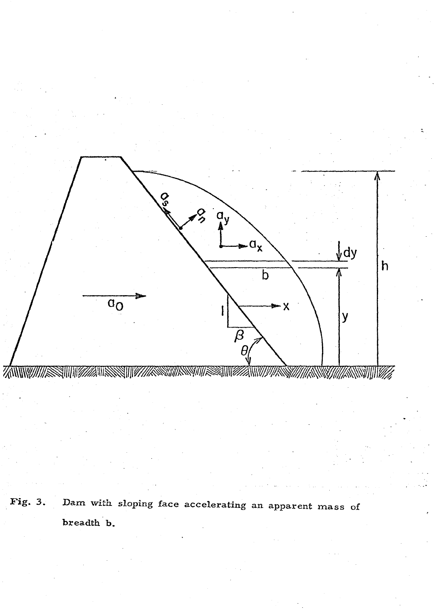

Fig. 3. Dam with. sloping face accelerating an apparent mass of breadth b.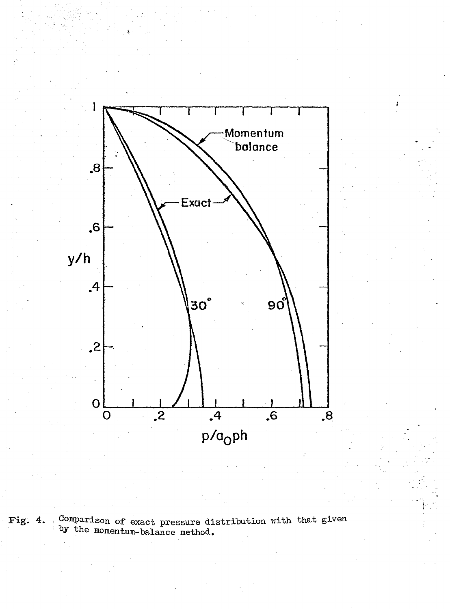

Fig. 4. Comparison of exact pressure distribution with that given by the momentum-balance method.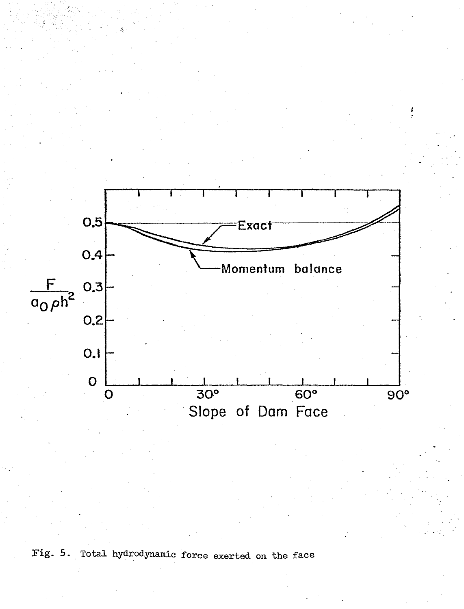

Fig. 5. Total hydrodynamic force exerted on the face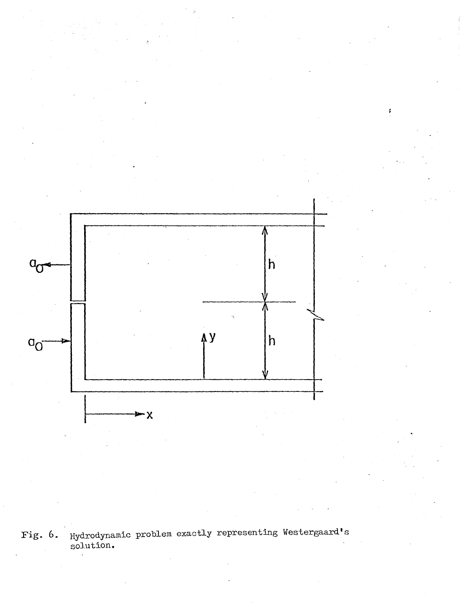

ţ

Fig. 6. Hydrodynamic problem exactly representing Westergaard's solution.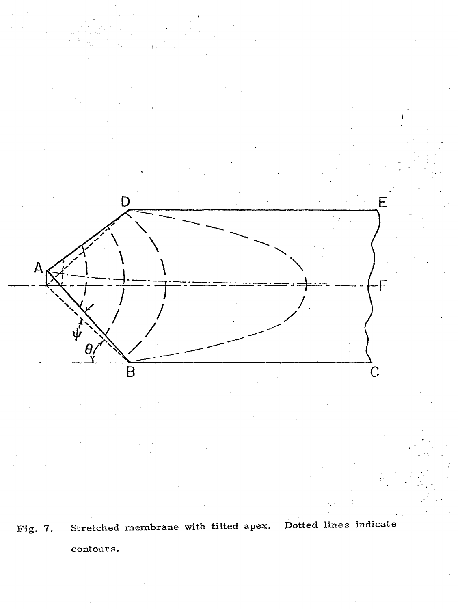

Fig. 7. Stretched membrane with tilted apex. Dotted lines indicate contours.